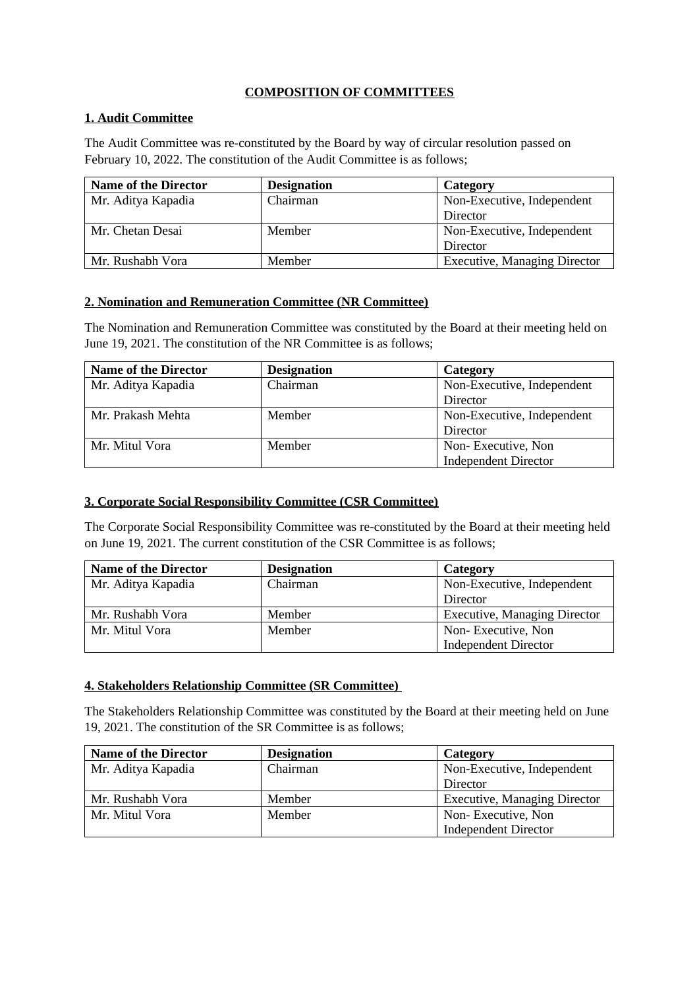## **COMPOSITION OF COMMITTEES**

## **1. Audit Committee**

The Audit Committee was re-constituted by the Board by way of circular resolution passed on February 10, 2022. The constitution of the Audit Committee is as follows;

| <b>Name of the Director</b> | <b>Designation</b> | Category                            |
|-----------------------------|--------------------|-------------------------------------|
| Mr. Aditya Kapadia          | Chairman           | Non-Executive, Independent          |
|                             |                    | Director                            |
| Mr. Chetan Desai            | Member             | Non-Executive, Independent          |
|                             |                    | Director                            |
| Mr. Rushabh Vora            | Member             | <b>Executive, Managing Director</b> |

## **2. Nomination and Remuneration Committee (NR Committee)**

The Nomination and Remuneration Committee was constituted by the Board at their meeting held on June 19, 2021. The constitution of the NR Committee is as follows;

| <b>Name of the Director</b> | <b>Designation</b> | Category                    |
|-----------------------------|--------------------|-----------------------------|
| Mr. Aditya Kapadia          | Chairman           | Non-Executive, Independent  |
|                             |                    | Director                    |
| Mr. Prakash Mehta           | Member             | Non-Executive, Independent  |
|                             |                    | Director                    |
| Mr. Mitul Vora              | Member             | Non-Executive, Non          |
|                             |                    | <b>Independent Director</b> |

## **3. Corporate Social Responsibility Committee (CSR Committee)**

The Corporate Social Responsibility Committee was re-constituted by the Board at their meeting held on June 19, 2021. The current constitution of the CSR Committee is as follows;

| <b>Name of the Director</b> | <b>Designation</b> | Category                            |
|-----------------------------|--------------------|-------------------------------------|
| Mr. Aditya Kapadia          | Chairman           | Non-Executive, Independent          |
|                             |                    | Director                            |
| Mr. Rushabh Vora            | Member             | <b>Executive, Managing Director</b> |
| Mr. Mitul Vora              | Member             | Non-Executive, Non                  |
|                             |                    | <b>Independent Director</b>         |

#### **4. Stakeholders Relationship Committee (SR Committee)**

The Stakeholders Relationship Committee was constituted by the Board at their meeting held on June 19, 2021. The constitution of the SR Committee is as follows;

| <b>Name of the Director</b> | <b>Designation</b> | Category                            |
|-----------------------------|--------------------|-------------------------------------|
| Mr. Aditya Kapadia          | Chairman           | Non-Executive, Independent          |
|                             |                    | Director                            |
| Mr. Rushabh Vora            | Member             | <b>Executive, Managing Director</b> |
| Mr. Mitul Vora              | Member             | Non-Executive, Non                  |
|                             |                    | <b>Independent Director</b>         |